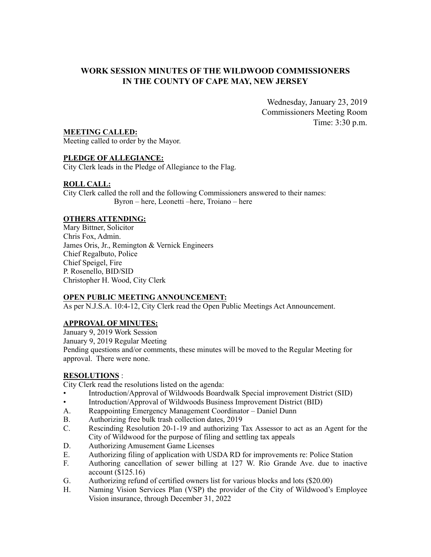# **WORK SESSION MINUTES OF THE WILDWOOD COMMISSIONERS IN THE COUNTY OF CAPE MAY, NEW JERSEY**

Wednesday, January 23, 2019 Commissioners Meeting Room Time: 3:30 p.m.

### **MEETING CALLED:**

Meeting called to order by the Mayor.

# **PLEDGE OF ALLEGIANCE:**

City Clerk leads in the Pledge of Allegiance to the Flag.

# **ROLL CALL:**

City Clerk called the roll and the following Commissioners answered to their names: Byron – here, Leonetti –here, Troiano – here

### **OTHERS ATTENDING:**

Mary Bittner, Solicitor Chris Fox, Admin. James Oris, Jr., Remington & Vernick Engineers Chief Regalbuto, Police Chief Speigel, Fire P. Rosenello, BID/SID Christopher H. Wood, City Clerk

# **OPEN PUBLIC MEETING ANNOUNCEMENT:**

As per N.J.S.A. 10:4-12, City Clerk read the Open Public Meetings Act Announcement.

### **APPROVAL OF MINUTES:**

January 9, 2019 Work Session January 9, 2019 Regular Meeting Pending questions and/or comments, these minutes will be moved to the Regular Meeting for approval. There were none.

## **RESOLUTIONS** :

City Clerk read the resolutions listed on the agenda:

- Introduction/Approval of Wildwoods Boardwalk Special improvement District (SID)
- Introduction/Approval of Wildwoods Business Improvement District (BID)
- A. Reappointing Emergency Management Coordinator Daniel Dunn
- B. Authorizing free bulk trash collection dates, 2019
- C. Rescinding Resolution 20-1-19 and authorizing Tax Assessor to act as an Agent for the City of Wildwood for the purpose of filing and settling tax appeals
- D. Authorizing Amusement Game Licenses
- E. Authorizing filing of application with USDA RD for improvements re: Police Station
- F. Authoring cancellation of sewer billing at 127 W. Rio Grande Ave. due to inactive account (\$125.16)
- G. Authorizing refund of certified owners list for various blocks and lots (\$20.00)
- H. Naming Vision Services Plan (VSP) the provider of the City of Wildwood's Employee Vision insurance, through December 31, 2022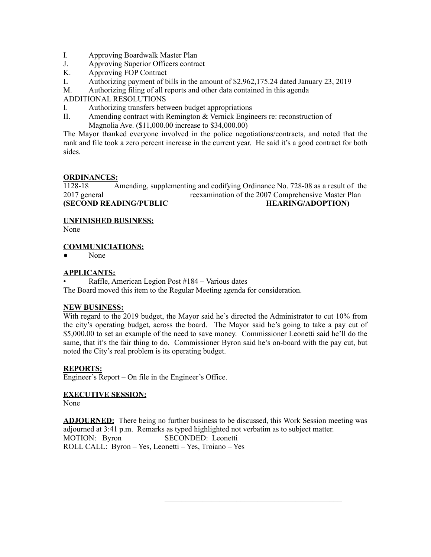- I. Approving Boardwalk Master Plan
- J. Approving Superior Officers contract
- K. Approving FOP Contract
- L Authorizing payment of bills in the amount of \$2,962,175.24 dated January 23, 2019

M. Authorizing filing of all reports and other data contained in this agenda

ADDITIONAL RESOLUTIONS

- I. Authorizing transfers between budget appropriations
- II. Amending contract with Remington & Vernick Engineers re: reconstruction of Magnolia Ave. (\$11,000.00 increase to \$34,000.00)

The Mayor thanked everyone involved in the police negotiations/contracts, and noted that the rank and file took a zero percent increase in the current year. He said it's a good contract for both sides.

# **ORDINANCES:**

1128-18 Amending, supplementing and codifying Ordinance No. 728-08 as a result of the 2017 general reexamination of the 2007 Comprehensive Master Plan **(SECOND READING/PUBLIC HEARING/ADOPTION)** 

**UNFINISHED BUSINESS:**

None

**COMMUNICIATIONS:**

● None

# **APPLICANTS:**

• Raffle, American Legion Post #184 – Various dates The Board moved this item to the Regular Meeting agenda for consideration.

# **NEW BUSINESS:**

With regard to the 2019 budget, the Mayor said he's directed the Administrator to cut 10% from the city's operating budget, across the board. The Mayor said he's going to take a pay cut of \$5,000.00 to set an example of the need to save money. Commissioner Leonetti said he'll do the same, that it's the fair thing to do. Commissioner Byron said he's on-board with the pay cut, but noted the City's real problem is its operating budget.

### **REPORTS:**

Engineer's Report – On file in the Engineer's Office.

# **EXECUTIVE SESSION:**

None

**ADJOURNED:** There being no further business to be discussed, this Work Session meeting was adjourned at 3:41 p.m. Remarks as typed highlighted not verbatim as to subject matter. MOTION: Byron SECONDED: Leonetti ROLL CALL: Byron – Yes, Leonetti – Yes, Troiano – Yes

 $\mathcal{L}_\text{max}$  , where  $\mathcal{L}_\text{max}$  and  $\mathcal{L}_\text{max}$  and  $\mathcal{L}_\text{max}$  and  $\mathcal{L}_\text{max}$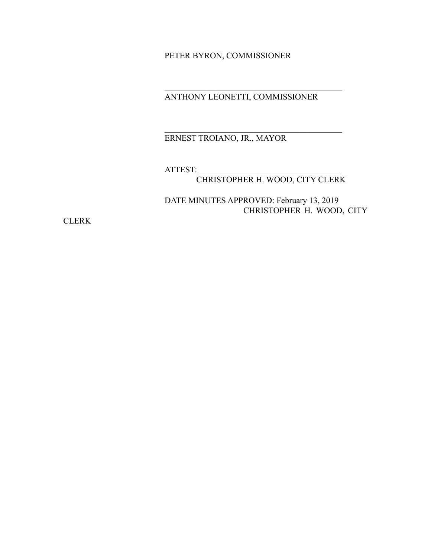PETER BYRON, COMMISSIONER

ANTHONY LEONETTI, COMMISSIONER

 $\mathcal{L}_\text{max}$ 

 $\mathcal{L}_\text{max}$  , where  $\mathcal{L}_\text{max}$  and  $\mathcal{L}_\text{max}$  and  $\mathcal{L}_\text{max}$  and  $\mathcal{L}_\text{max}$ 

# ERNEST TROIANO, JR., MAYOR

ATTEST:

CHRISTOPHER H. WOOD, CITY CLERK

DATE MINUTES APPROVED: February 13, 2019 CHRISTOPHER H. WOOD, CITY

**CLERK**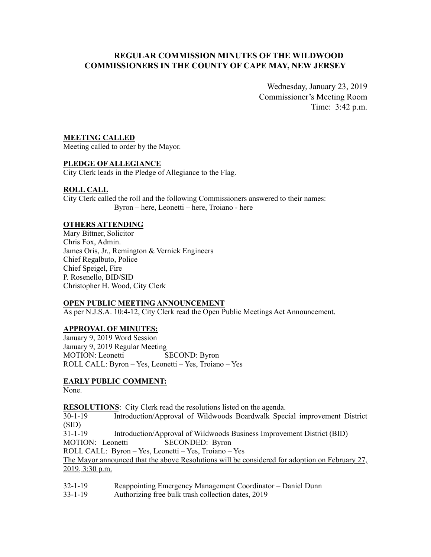# **REGULAR COMMISSION MINUTES OF THE WILDWOOD COMMISSIONERS IN THE COUNTY OF CAPE MAY, NEW JERSEY**

Wednesday, January 23, 2019 Commissioner's Meeting Room Time: 3:42 p.m.

# **MEETING CALLED**

Meeting called to order by the Mayor.

### **PLEDGE OF ALLEGIANCE**

City Clerk leads in the Pledge of Allegiance to the Flag.

# **ROLL CALL**

City Clerk called the roll and the following Commissioners answered to their names: Byron – here, Leonetti – here, Troiano - here

### **OTHERS ATTENDING**

Mary Bittner, Solicitor Chris Fox, Admin. James Oris, Jr., Remington & Vernick Engineers Chief Regalbuto, Police Chief Speigel, Fire P. Rosenello, BID/SID Christopher H. Wood, City Clerk

### **OPEN PUBLIC MEETING ANNOUNCEMENT**

As per N.J.S.A. 10:4-12, City Clerk read the Open Public Meetings Act Announcement.

### **APPROVAL OF MINUTES:**

January 9, 2019 Word Session January 9, 2019 Regular Meeting MOTION: Leonetti SECOND: Byron ROLL CALL: Byron – Yes, Leonetti – Yes, Troiano – Yes

# **EARLY PUBLIC COMMENT:**

None.

**RESOLUTIONS**: City Clerk read the resolutions listed on the agenda.

30-1-19 Introduction/Approval of Wildwoods Boardwalk Special improvement District (SID)

31-1-19 Introduction/Approval of Wildwoods Business Improvement District (BID)

MOTION: Leonetti SECONDED: Byron

ROLL CALL: Byron – Yes, Leonetti – Yes, Troiano – Yes

The Mayor announced that the above Resolutions will be considered for adoption on February 27, 2019, 3:30 p.m.

32-1-19 Reappointing Emergency Management Coordinator – Daniel Dunn

33-1-19 Authorizing free bulk trash collection dates, 2019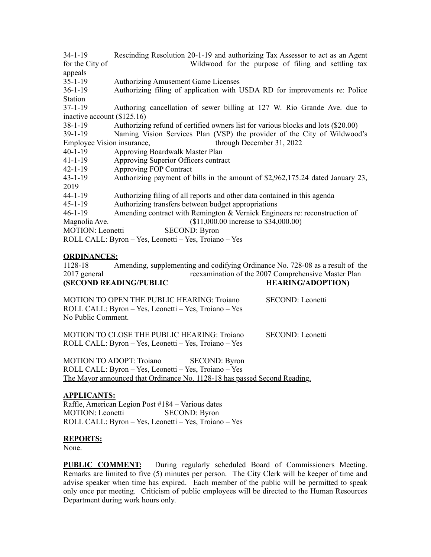34-1-19 Rescinding Resolution 20-1-19 and authorizing Tax Assessor to act as an Agent for the City of Wildwood for the purpose of filing and settling tax appeals<br> $35-1-19$ Authorizing Amusement Game Licenses 36-1-19 Authorizing filing of application with USDA RD for improvements re: Police Station 37-1-19 Authoring cancellation of sewer billing at 127 W. Rio Grande Ave. due to inactive account (\$125.16) 38-1-19 Authorizing refund of certified owners list for various blocks and lots (\$20.00) 39-1-19 Naming Vision Services Plan (VSP) the provider of the City of Wildwood's Employee Vision insurance, through December 31, 2022 40-1-19 Approving Boardwalk Master Plan 41-1-19 Approving Superior Officers contract 42-1-19 Approving FOP Contract 43-1-19 Authorizing payment of bills in the amount of \$2,962,175.24 dated January 23, 2019 44-1-19 Authorizing filing of all reports and other data contained in this agenda 45-1-19 Authorizing transfers between budget appropriations 46-1-19 Amending contract with Remington & Vernick Engineers re: reconstruction of Magnolia Ave. (\$11,000.00 increase to \$34,000.00) MOTION: Leonetti SECOND: Byron ROLL CALL: Byron – Yes, Leonetti – Yes, Troiano – Yes

### **ORDINANCES:**

1128-18 Amending, supplementing and codifying Ordinance No. 728-08 as a result of the 2017 general reexamination of the 2007 Comprehensive Master Plan **(SECOND READING/PUBLIC HEARING/ADOPTION)** 

| MOTION TO OPEN THE PUBLIC HEARING: Troiano            | SECOND: Leonetti |
|-------------------------------------------------------|------------------|
| ROLL CALL: Byron – Yes, Leonetti – Yes, Troiano – Yes |                  |
| No Public Comment.                                    |                  |
|                                                       |                  |

MOTION TO CLOSE THE PUBLIC HEARING: Troiano SECOND: Leonetti ROLL CALL: Byron – Yes, Leonetti – Yes, Troiano – Yes

MOTION TO ADOPT: Troiano SECOND: Byron ROLL CALL: Byron – Yes, Leonetti – Yes, Troiano – Yes The Mayor announced that Ordinance No. 1128-18 has passed Second Reading.

### **APPLICANTS:**

Raffle, American Legion Post #184 – Various dates MOTION: Leonetti SECOND: Byron ROLL CALL: Byron – Yes, Leonetti – Yes, Troiano – Yes

### **REPORTS:**

None.

**PUBLIC COMMENT:** During regularly scheduled Board of Commissioners Meeting. Remarks are limited to five (5) minutes per person. The City Clerk will be keeper of time and advise speaker when time has expired. Each member of the public will be permitted to speak only once per meeting. Criticism of public employees will be directed to the Human Resources Department during work hours only.